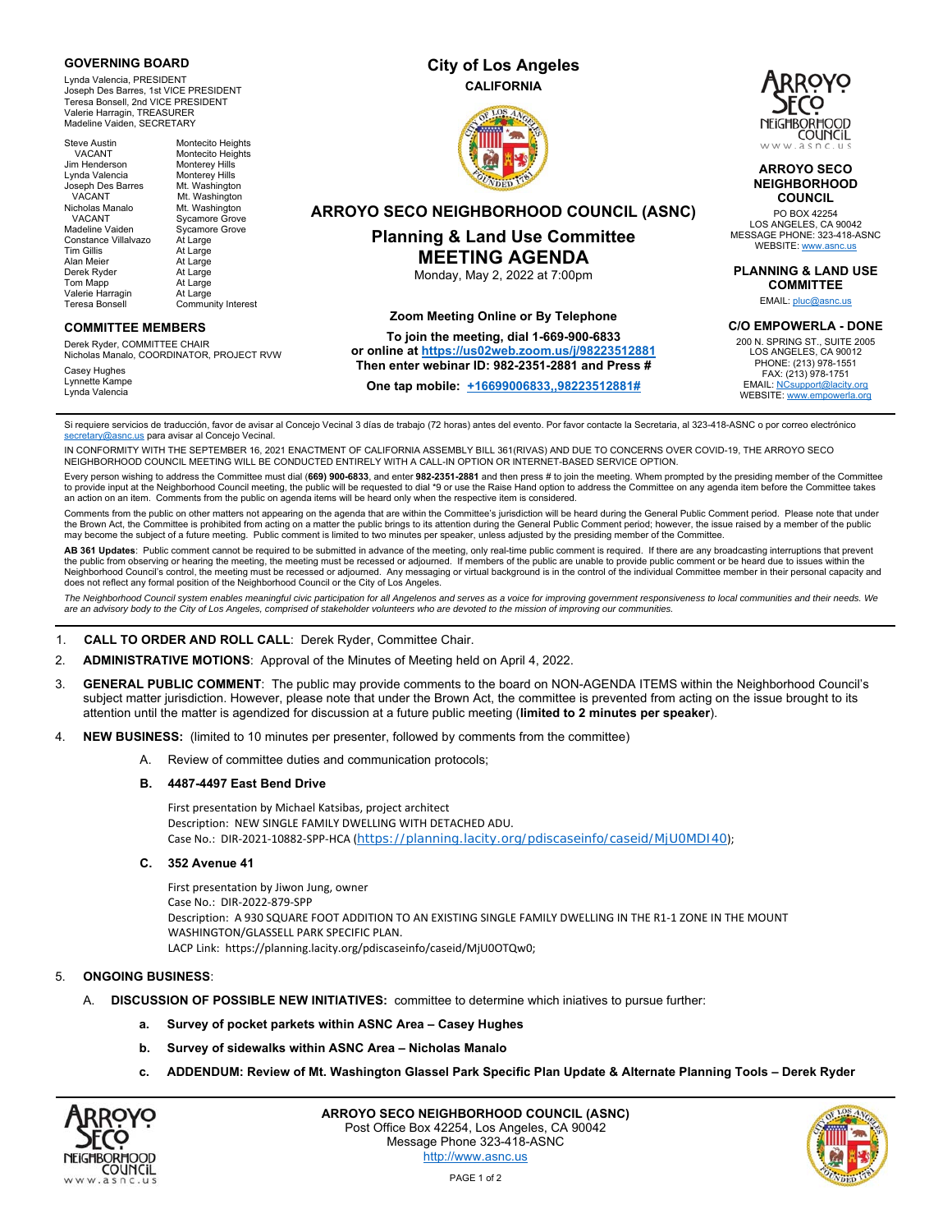#### **GOVERNING BOARD**

Lynda Valencia, PRESIDENT Joseph Des Barres, 1st VICE PRESIDENT Teresa Bonsell, 2nd VICE PRESIDENT Valerie Harragin, TREASURER Madeline Vaiden, SECRETARY

| <b>Steve Austin</b>  | Montecito Heights        |
|----------------------|--------------------------|
| <b>VACANT</b>        | <b>Montecito Heights</b> |
| Jim Henderson        | <b>Monterey Hills</b>    |
| Lvnda Valencia       | <b>Monterey Hills</b>    |
| Joseph Des Barres    | Mt. Washington           |
| <b>VACANT</b>        | Mt. Washington           |
| Nicholas Manalo      | Mt. Washington           |
| <b>VACANT</b>        | <b>Sycamore Grove</b>    |
| Madeline Vaiden      | <b>Sycamore Grove</b>    |
| Constance Villalvazo | At Large                 |
| <b>Tim Gillis</b>    | At Large                 |
| Alan Meier           | At Large                 |
| Derek Ryder          | At Large                 |
| Tom Mapp             | At Large                 |
| Valerie Harragin     | At Large                 |
| Teresa Bonsell       | Community Interest       |

#### **COMMITTEE MEMBERS**

Derek Ryder, COMMITTEE CHAIR Nicholas Manalo, COORDINATOR, PROJECT RVW

Casey Hughes Lynnette Kampe Lynda Valencia

# **City of Los Angeles CALIFORNIA**



# **ARROYO SECO NEIGHBORHOOD COUNCIL (ASNC)**

## **Planning & Land Use Committee MEETING AGENDA**

Monday, May 2, 2022 at 7:00pm

#### **Zoom Meeting Online or By Telephone**

#### **To join the meeting, dial 1-669-900-6833**

#### **or online at https://us02web.zoom.us/j/98223512881 Then enter webinar ID: 982-2351-2881 and Press #**

**One tap mobile: +16699006833,,98223512881#**



#### **ARROYO SECO NEIGHBORHOOD COUNCIL**

PO BOX 42254 LOS ANGELES, CA 90042 MESSAGE PHONE: 323-418-ASNC WEBSITE: www.asi

### **PLANNING & LAND USE**

**COMMITTEE** 

EMAIL: pluc@asnc.us

**C/O EMPOWERLA - DONE** 

200 N. SPRING ST., SUITE 2005 LOS ANGELES, CA 90012 PHONE: (213) 978-1551 FAX: (213) 978-1751 EMAIL: NCsupport@lacity.org WEBSITE: www.empowerla.org

Si requiere servicios de traducción, favor de avisar al Concejo Vecinal 3 días de trabajo (72 horas) antes del evento. Por favor contacte la Secretaria, al 323-418-ASNC o por correo electrónico secretary@asnc.us para avisar al Concejo Vecinal

IN CONFORMITY WITH THE SEPTEMBER 16, 2021 ENACTMENT OF CALIFORNIA ASSEMBLY BILL 361(RIVAS) AND DUE TO CONCERNS OVER COVID-19, THE ARROYO SECO<br>NEIGHBORHOOD COUNCIL MEETING WILL BE CONDUCTED ENTIRELY WITH A CALL-IN OPTION OR

Every person wishing to address the Committee must dial (**669) 900-6833**, and enter **982-2351-2881** and then press # to join the meeting. Whem prompted by the presiding member of the Committee to provide input at the Neighborhood Council meeting, the public will be requested to dial \*9 or use the Raise Hand option to address the Committee on any agenda item before the Committee takes an action on an item. Comments from the public on agenda items will be heard only when the respective item is considered.

Comments from the public on other matters not appearing on the agenda that are within the Committee's jurisdiction will be heard during the General Public Comment period. Please note that under the Brown Act, the Committee is prohibited from acting on a matter the public brings to its attention during the General Public Comment period; however, the issue raised by a member of the public may become the subject of a future meeting. Public comment is limited to two minutes per speaker, unless adjusted by the presiding member of the Committee.

AB 361 Updates: Public comment cannot be required to be submitted in advance of the meeting, only real-time public comment is required. If there are any broadcasting interruptions that prevent the public from observing or hearing the meeting, the meeting must be recessed or adjourned. If members of the public are unable to provide public comment or be heard due to issues within the Neighborhood Council's control, the meeting must be recessed or adjourned. Any messaging or virtual background is in the control of the individual Committee member in their personal capacity and does not reflect any formal position of the Neighborhood Council or the City of Los Angeles.

*The Neighborhood Council system enables meaningful civic participation for all Angelenos and serves as a voice for improving government responsiveness to local communities and their needs. We are an advisory body to the City of Los Angeles, comprised of stakeholder volunteers who are devoted to the mission of improving our communities.* 

#### 1. **CALL TO ORDER AND ROLL CALL**: Derek Ryder, Committee Chair.

- 2. **ADMINISTRATIVE MOTIONS**: Approval of the Minutes of Meeting held on April 4, 2022.
- 3. **GENERAL PUBLIC COMMENT**: The public may provide comments to the board on NON-AGENDA ITEMS within the Neighborhood Council's subject matter jurisdiction. However, please note that under the Brown Act, the committee is prevented from acting on the issue brought to its attention until the matter is agendized for discussion at a future public meeting (**limited to 2 minutes per speaker**).
- 4. **NEW BUSINESS:** (limited to 10 minutes per presenter, followed by comments from the committee)
	- A. Review of committee duties and communication protocols;

#### **B. 4487-4497 East Bend Drive**

First presentation by Michael Katsibas, project architect Description: NEW SINGLE FAMILY DWELLING WITH DETACHED ADU. Case No.: DIR-2021-10882-SPP-HCA (https://planning.lacity.org/pdiscaseinfo/caseid/MjU0MDI40);

#### **C. 352 Avenue 41**

First presentation by Jiwon Jung, owner Case No.: DIR‐2022‐879‐SPP Description: A 930 SQUARE FOOT ADDITION TO AN EXISTING SINGLE FAMILY DWELLING IN THE R1-1 ZONE IN THE MOUNT WASHINGTON/GLASSELL PARK SPECIFIC PLAN. LACP Link: https://planning.lacity.org/pdiscaseinfo/caseid/MjU0OTQw0;

#### 5. **ONGOING BUSINESS**:

- A. **DISCUSSION OF POSSIBLE NEW INITIATIVES:** committee to determine which iniatives to pursue further:
	- **a. Survey of pocket parkets within ASNC Area Casey Hughes**
	- **b. Survey of sidewalks within ASNC Area Nicholas Manalo**
	- **c. ADDENDUM: Review of Mt. Washington Glassel Park Specific Plan Update & Alternate Planning Tools Derek Ryder**



**ARROYO SECO NEIGHBORHOOD COUNCIL (ASNC)**  Post Office Box 42254, Los Angeles, CA 90042 Message Phone 323-418-ASNC http://www.asnc.us